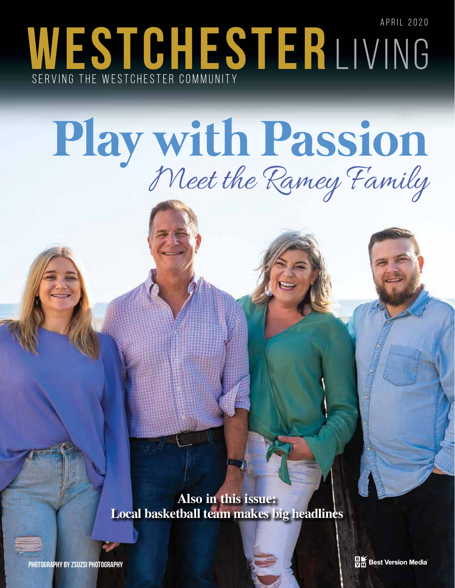APRIL 2020 WESTCHESTERLIVING SERVING THE WESTCHESTER COMMUNITY

## **Play with Passion** Meet the Ramey Family

**Also in this issue: Local basketball team makes big headlines**

**BIK** Best Version Media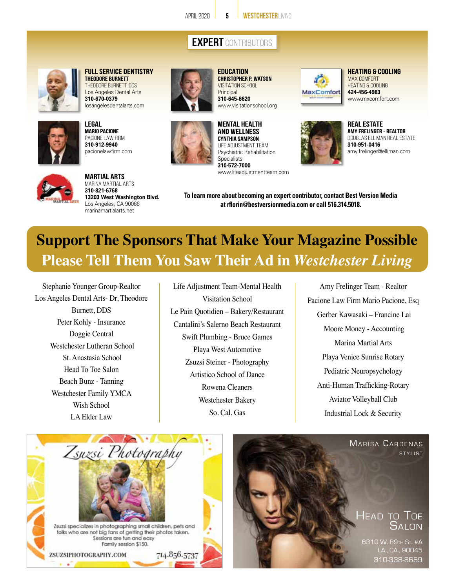## **EXPERT** CONTRIBUTORS

**EDUCATION**



**FULL SERVICE DENTISTRY THEODORE BURNETT**  Theodore Burnett, DDS Los Angeles Dental Arts **310-670-0379** losangelesdentalarts.com









**Christopher P. Watson** Visitation School **Principal 310-645-6620** www.visitationschool.org

www.lifeadjustmentteam.com

**MENTAL HEALTH AND WELLNESS Cynthia Sampson** Life Adjustment Team Psychiatric Rehabilitation

**Specialists 310-572-7000**



**REAL ESTATE** www.mxcomfort.com

**HEATING & COOLING** MAX COMFORT Heating & Cooling **424-456-4983** 



**Amy Frelinger - RealtoR** Douglas Elliman Real Estate **310-951-0416** amy.frelinger@elliman.com



**Martial Arts** Marina Martial Arts **310-821-6768 13203 West Washington Blvd.** Los Angeles, CA 90066 marinamartialarts.net

**To learn more about becoming an expert contributor, contact Best Version Media at rflorin@bestversionmedia.com or call 516.314.5018.**

## **Support The Sponsors That Make Your Magazine Possible Please Tell Them You Saw Their Ad in** *Westchester Living*

Stephanie Younger Group-Realtor Los Angeles Dental Arts- Dr, Theodore Burnett, DDS Peter Kohly - Insurance Doggie Central Westchester Lutheran School St. Anastasia School Head To Toe Salon Beach Bunz - Tanning Westchester Family YMCA Wish School LA Elder Law

Life Adjustment Team-Mental Health Visitation School Le Pain Quotidien – Bakery/Restaurant Cantalini's Salerno Beach Restaurant Swift Plumbing - Bruce Games Playa West Automotive Zsuzsi Steiner - Photography Artistico School of Dance Rowena Cleaners Westchester Bakery So. Cal. Gas

Amy Frelinger Team - Realtor Pacione Law Firm Mario Pacione, Esq Gerber Kawasaki – Francine Lai Moore Money - Accounting Marina Martial Arts Playa Venice Sunrise Rotary Pediatric Neuropsychology Anti-Human Trafficking-Rotary Aviator Volleyball Club Industrial Lock & Security